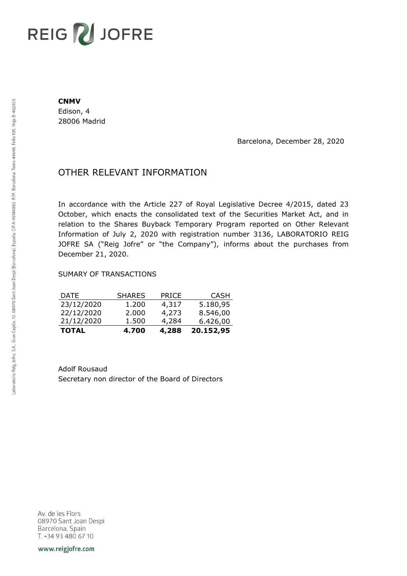## **REIG ZU JOFRE**

## **CNMV**

Edison, 4 28006 Madrid

Barcelona, December 28, 2020

## OTHER RELEVANT INFORMATION

In accordance with the Article 227 of Royal Legislative Decree 4/2015, dated 23 October, which enacts the consolidated text of the Securities Market Act, and in relation to the Shares Buyback Temporary Program reported on Other Relevant Information of July 2, 2020 with registration number 3136, LABORATORIO REIG JOFRE SA ("Reig Jofre" or "the Company"), informs about the purchases from December 21, 2020.

## SUMARY OF TRANSACTIONS

| <b>DATE</b><br>23/12/2020 | <b>SHARES</b><br>1.200 | <b>PRICE</b><br>4,317 | <b>CASH</b><br>5.180,95 |
|---------------------------|------------------------|-----------------------|-------------------------|
| 22/12/2020                | 2.000                  | 4,273                 | 8.546,00                |
| 21/12/2020                | 1.500                  | 4,284                 | 6.426,00                |
| <b>TOTAL</b>              | 4.700                  | 4,288                 | 20.152,95               |

Adolf Rousaud Secretary non director of the Board of Directors

Av. de les Flors 08970 Sant Joan Despi Barcelona, Spain T. +34 93 480 67 10

www.reigjofre.com